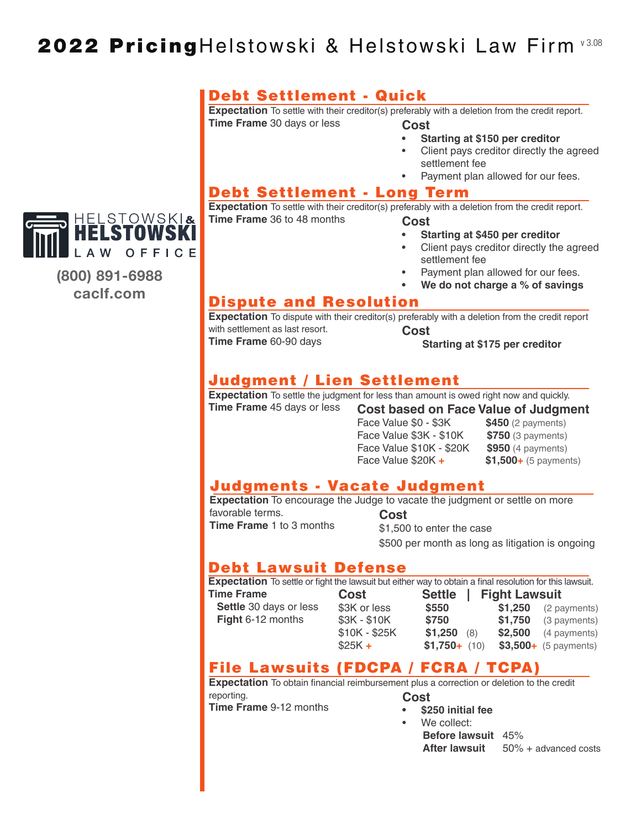# 2022 PricingHelstowski & Helstowski Law Firm v3.08

#### Debt Settlement - Quick

**Expectation** To settle with their creditor(s) preferably with a deletion from the credit report. **Time Frame** 30 days or less **Cost** 

- **Starting at \$150 per creditor**
- Client pays creditor directly the agreed settlement fee
- Payment plan allowed for our fees.

#### Debt Settlement - Long Term

**Expectation** To settle with their creditor(s) preferably with a deletion from the credit report. **Time Frame** 36 to 48 months **Cost** 

- **Starting at \$450 per creditor**
- Client pays creditor directly the agreed settlement fee
- Payment plan allowed for our fees.
- **We do not charge a % of savings**

#### Dispute and Resolution

**Expectation** To dispute with their creditor(s) preferably with a deletion from the credit report with settlement as last resort. **Cost**

**Time Frame** 60-90 days

 **Starting at \$175 per creditor**

#### Judgment / Lien Settlement

**Expectation** To settle the judgment for less than amount is owed right now and quickly.

**Time Frame** 45 days or less **Cost based on Face Value of Judgment**

**Face Value \$0 - \$3K \$450** (2 payments) Face Value \$3K - \$10K **\$750** (3 payments) Face Value \$10K - \$20K **\$950** (4 payments) Face Value \$20K **+ \$1,500+** (5 payments)

#### Judgments - Vacate Judgment

**Expectation** To encourage the Judge to vacate the judgment or settle on more

favorable terms. **Time Frame** 1 to 3 months

**Cost** \$1,500 to enter the case \$500 per month as long as litigation is ongoing

#### Debt Lawsuit Defense

**Expectation** To settle or fight the lawsuit but either way to obtain a final resolution for this lawsuit.

**Time Frame Settle** 30 days or less  **Fight** 6-12 months

**Cost** Settle \$3K or less **\$550** \$3K - \$10K **\$750**  $$10K - $25K$  \$1,250 \$25K **+ \$1,750+** (10) **\$3,500+** (5 payments)

| 111 a III al Tesolutton Tor triis lawsuit. |         |                        |
|--------------------------------------------|---------|------------------------|
| <b>Fight Lawsuit</b>                       |         |                        |
|                                            | \$1,250 | (2 payments)           |
|                                            | \$1,750 | (3 payments)           |
| (8)                                        | \$2,500 | (4 payments)           |
| $+ (10)$                                   |         | $$3,500+$ (5 payments) |

# File Lawsuits (FDCPA / FCRA / TCPA)

**Expectation** To obtain financial reimbursement plus a correction or deletion to the credit reporting. **Cost**

**Time Frame** 9-12 months

- **\$250 initial fee**
- We collect: **Before lawsuit** 45%
	- **After lawsuit** 50% + advanced costs



**(800) 891-6988 caclf.com**